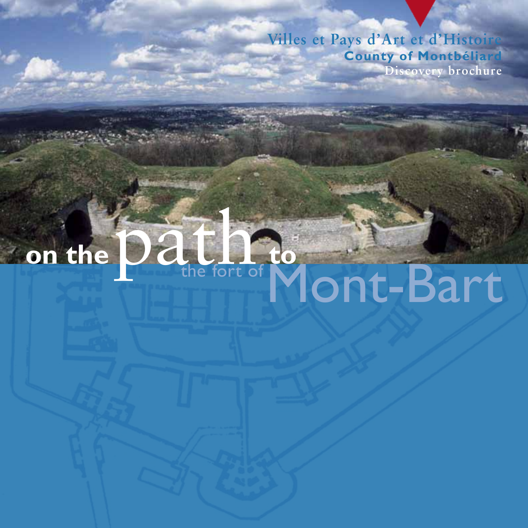**Villes et Pays d'Art et d'Histoire County of Montbéliard Discovery brochure**

# the fort of Mont-Bart on the  $\overline{\text{Data}}$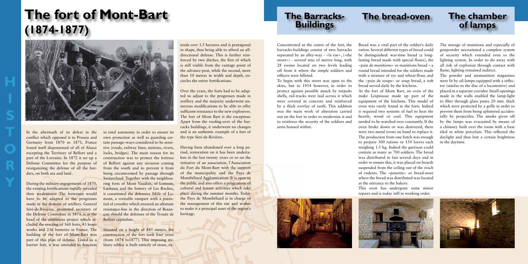**H**

**S**

**R**

**Y**

# **The Barracks-Buildings**

# **The fort of Mont-Bart (1874-1877)**

# **The bread-oven The chamber**



In the aftermath of its defeat in the conflict which opposed it to Prussia and Germany from 1870 to 1871, France found itself dispossessed of all of Alsace excepting the Territory of Belfort and a part of the Lorraine. In 1872 it set up a Defense Committee for the purpose of reorganizing the defense of all the borders, on both sea and land .

During the military engagements of 1870, the existing fortifications rapidly revealed their weaknesses: The fortresses would have to be adapted to the progresses made in the domain of artillery. General Séré-de-Rivières, promoted secretary of the Defense Committee in 1873, is at the head of the ambitious project which included the erecting of 160 forts, 43 lesser works and 236 batteries in France. The building of the fort of Mont-Bart was part of this plan of defense. Listed as a barrier fort, it was intended to function

in total autonomy in order to ensure its own protection as well as guarding certain passage–ways considered to be sensitive (roads, railway lines, stations, rivers, locks, bridges). The main reason for its construction was to protect the fortress of Belfort against any invasion coming from the south and to prevent it from being circumvented by passage through Switzerland. Together with the neighbouring forts of Mont Vaudois, of Lomont, Lachaux and the battery of Les Roches, it constituted the defensive Môle of Lomont, a veritable rampart with a potential of crossfire which ensured an ultimate resistance-line in the direction of Besançon should the defenses of the Trouée de Belfort capitulate.

Situated on a height of 485 metres, the construction of the fort took four years (from 1874 to1877). This imposing military edifice is built entirely of stone, ex-

tends over 3.5 hectares and is pentagonal in shape, thus being able to afford an alldirectional defense. This is further reinforced by two ditches, the first of which is still visible from the vantage point of the advance-post, while the second, more than 10 metres in width and depth, encircles the entire fortifications.

Over the years, the forts had to be adapted to adjust to the progresses made in artillery and the majority underwent numerous modifications to be able to offer sufficient resistance to the new explosives. The fort of Mont Bart is the exception: Apart from the roofing-over of the barracks buildings, it underwent no changes and is an authentic example of a fort of the type Séré-de-Rivières.

Having been abandoned over a long period, restoration on it has been undertaken in the last twenty years or so on the initiative of an association, l'Association du Fort du Mont-Bart with the support of the municipality and the Pays de Montbéliard Agglomération. It is open to the public and also offers a programme of cultural and leisure activities which take place during the summer months. Today the Pays de Montbéliard is in charge of the management of this site and wishes to make it a principal asset of the region's heritage.

Concentrated at the centre of the fort, the barracks-buildings consist of two barracks separated by an alley-way - «la rue», («the street») - several tens of metres long, with 28 rooms located on two levels leading off from it where the simple soldiers and officers were billeted.

To begin with this street was open to the skies, but in 1914 however, in order to protect against possible attack by torpedo shells, rail-tracks were laid across it which were covered in concrete and reinforced by a thick overlay of earth. This addition was the main work of alteration carried out on the fort in order to modernize it and to reinforce the security of the soldiers and arms housed within.

Bread was a vital part of the soldier's daily ration. Several different types of bread could be distinguished: war-time bread (a longlasting bread made with special flours), the «pain de munitions» or munitions bread – a round bread intended for the soldiers made with a mixture of rye and wheat-flour, and the «pain de soupe» or soup bread, a soft bread served daily by the kitchens. At the fort of Mont Bart, an oven of the make Lespinasse made up part of the equipment of the kitchens. This model of oven was rarely found in the forts. Indeed it required two systems of fuel to heat the hearth, wood or coal. This equipment needed to be watched over constantly. If the oven broke down or was destroyed, there were two metal ovens on hand to replace it. The production from one batch was enough to prepare 300 rations or 150 loaves each weighing 1.5 kg. Indeed the garrison could contain as many as 700 soldiers. The bread was distributed to last several days and in order to ensure this, it was placed on boards suspended from the ceiling out of the reach of rodents. The «panetrie» or bread-store where the bread was distributed was located at the entrance to the bakery.

This oven has undergone some minor repairs and is today still in working order.





The storage of munitions and especially of gunpowder necessitated a complete system of security which extended even to the lighting system. In order to do away with all risk of explosion through contact with flame, lighting remained indirect.

The powder and ammunition magazines were lit by oil-lamps equipped with a reflector (similar to the disc of a locomotive) and placed in a separate corridor. Small openings made in the walls enabled the lamp-light to filter through glass panes 20 mm. thick which were protected by a grille in order to prevent them from being splintered accidentally by projectiles. The smoke given off by the lamps was evacuated by means of a chimney built over the room with a base tiled in white porcelain. This reflected the daylight and thus lent a certain brightness in the daytime.

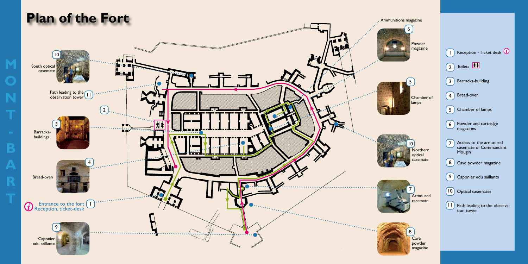Chamber of



|                                   | Reception - Ticket desk $\overline{\mathbf{u}}$            |
|-----------------------------------|------------------------------------------------------------|
|                                   | $(2)$ Toilets $\boxed{\hat{x} \hat{x}}$                    |
| I 3                               | Barracks-building                                          |
| $\overline{4}$                    | Bread-oven                                                 |
| $\begin{bmatrix} 5 \end{bmatrix}$ | Chamber of lamps                                           |
| $\begin{bmatrix} 6 \end{bmatrix}$ | Powder and cartridge<br>magazines                          |
|                                   | Access to the armoured<br>casemate of Commandant<br>Mougin |
| 8                                 | Cave powder magazine                                       |
| 9                                 | Caponier «du saillant»                                     |
| $\lceil 10 \rceil$                | <b>Optical casemates</b>                                   |
| П]                                | Path leading to the observa-<br>tion tower                 |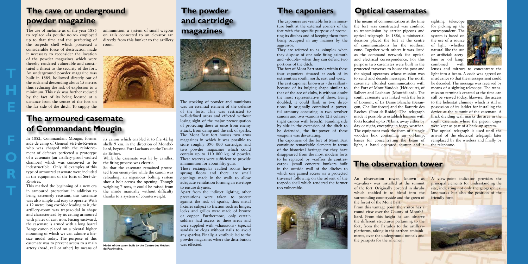**H**

**E**

**F**

**R**

The caponiers are veritable forts in miniature built at the external corners of the fort with the specific purpose of protecting its ditches and of keeping them from being occupied in any manner by the aggressor.

They are referred to as «simple» when they dispose of one sole firing azimuth and «doublé» when they can defend two portions of the ditch.

The fort of Mont Bart stands within these four caponiers situated at each of its extremities: south, north, east and west. The east caponier known as «du saillant» because of its bulging shape similar to that of the ace of clubs, is without doubt the most representative of these. Being doubled, it could flank in two directions. It originally contained a powerful armoury consisting in two revolver canons and two «canons de 12 à culasse» (light canons with breech). Standing side by side in the extension of the ditch to be defended, the fire-power of these weapons was devastating.

The caponiers of the fort of Mont Bart constitute remarkable elements in terms of the historical heritage for they have disappeared from the most modern forts to be replaced by «coffres de contrescarpe» (small concrete bunkers built in the outside wall of the ditches to which one gained access via a protected traverse) following on the advent of the torpedo shell which rendered the former too vulnerable.



The means of communication at the time the fort was constructed was confined to transmission by carrier pigeons and optical telegraph. In 1886, a ministerial decision placed the fort at the centre of communications for the southern zone. Together with others it was listed as the command network for optical and electrical correspondence. For this purpose two casemates were built in the protected traverses to house the post and the signal operators whose mission was to send and decode messages. The north casemate afforded communication with the Fort of Mont Vaudois (Héricourt), of Salbert and Lachaux (Montbéliard). The south casemate was linked with the forts of Lomont, of La Dame Blanche (Besançon, Chailluz forest) and the Batterie des Roches (Pont-de-Roide). The telegraph made it possible to establish liaisons with forts located up to 70 kms. away either by day or night, excepting in foggy weather. The equipment took the form of a single wooden box containing an oil-lamp, lenses for concentrating the beam of light, a hand operated shutter and a sighting telescope for picking up the correspondent. The system is based on the use of a source of light (whether natural like the sun or artificial: acetylene or oil lamp) combined with lenses and mirrors to concentrate the light into a beam. A code was agreed on in advance so that the messages sent could be decoded. The message was received by means of a sighting telescope. The transmission terminals created at the time can still be viewed today, likewise, the access to the heliostat chimney which is still in possession of its ladder for installing the device at the summit of the casemate. A brick dividing wall marks the area in the south casemate where the pigeon cages were kept as part of a back-up system. The optical telegraph is used until the arrival of the electrical telegraph later remplaced by the wireless and finally by the telephone.

# **The cave or underground powder magazine**

**The armoured casemate of Commandant Mougin** 

**The powder** 

**and cartridge** 

**magazines**

The stocking of powder and munitions was an essential element of the defense of the forts. This was restricted to well-defined areas and effected without losing sight of the major preoccupation of protecting these at once from enemy attack, from damp and the risk of sparks. The Mont Bart fort houses two arms magazines in which it was possible to store roughly 390 000 cartridges and two powder magazines which could contain up to 110 000 kg. of powder. These reserves were sufficient to provide ammunition for about fifty guns.

These rectangular vaulted rooms have sprung floors and there are small openings made in the walls to allow adequate ventilation forming an envelope to ensure dryness.

Apart from the indirect lighting, other precautions were taken to protect against the risk of sparks, thus metal fixtures subject to friction such as hinges, locks and grilles were made of bronze or copper. Furthermore, only certain soldiers had access to these areas and were supplied with «chaussons» (special sandals or clogs without nails to avoid any sparks). Finally, a vestibule led to the powder magazines where the distribution was effected.

In 1882, Commandant Mougin, former aide de camp of General Séré-de-Rivières who was charged with the reinforcement of defenses perfected a prototype of a casemate (an artillery-proof vaulted chamber) which was conceived to be indestructible. Only 10 examples of this type of armoured casemate were included in the equipment of the forts of Séré-de-Rivières.

This marked the beginning of a new era in armoured protection: in addition to being extremely resistant, this casemate was also simple and easy to operate. With a 12 metre long corridor leading to it, the artillery-room was trapezoidal in shape and characterized by its ceiling armoured with plates of cast iron. Facing eastward, the casemate is armed with a long barrel Bange canon placed on a pivotal higher mounting of which we can admire a lifesize model today. The purpose of this casemate was to prevent access to a main artery (road, rail or other) by means of

The use of melinite as of the year 1885 to replace «la poudre noire» employed up to that time and the perfecting of the torpedo shell which possessed a considerable force of destruction made it necessary to reconsider the location of the powder magazines which were thereby rendered vulnerable and constituted a threat to the security of the fort. An underground powder magazine was built in 1889, hollowed directly out of the rock and descending about 15 metres thus reducing the risk of explosion to a minimum. This risk was further reduced by the fact of its being located at a distance from the centre of the fort on the far side of the ditch. To supply the

> its canon which enabled it to fire 42 kg shells 9 km. in the direction of Montbéliard, beyond Fort Lachaux on the Trouée de Belfort.

While the casemate was lit by candles, the firing process was electric.

So that the casemate remained protected from enemy-fire while the canon was reloading, an ingenious bolting system shot a bolt across the opening. Though weighing 7 tons, it could be raised from the inside manually without difficulty thanks to a system of counterweight.

# **The caponiers Optical casemates**

# **The observation tower**

An observation tower, known as «cavalier» was installed at the summit of the fort. Originally covered in shrubs which enabled it to blend into the surrounding countryside and the green of the forest of the Mont Bart. From this vantage point the visitor has a round view over the County of Montbéliard. From this height he can observe the different structures pertaining to the fort, from the Parados to the artilleryplatforms, taking in the earthen embankments, over the underground tunnels and the parapets for the riflemen.

A view-point indicator provides the principal elements for understanding the site, indicating not only the geographical landmarks but also the position of the friendly forts.

ammunition, a system of small wagons on rails connected to an elevator ran directly from this bunker to the artillery room.





**Model of the canon built by the Centre des Métiers du Patrimoine.**